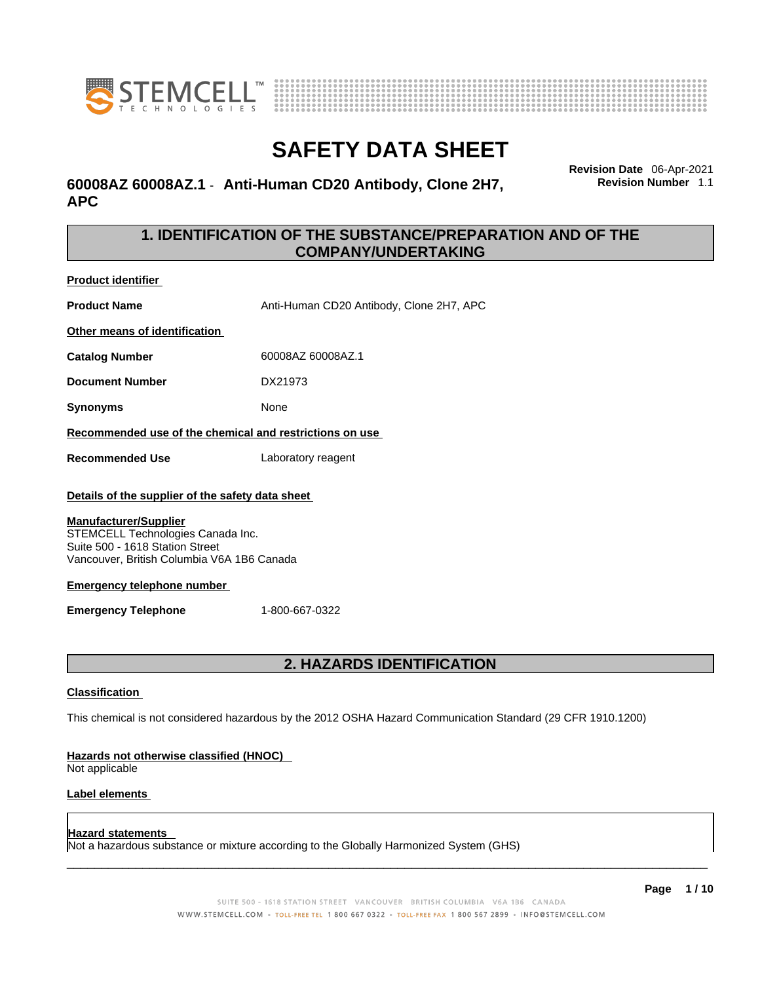



## **60008AZ 60008AZ.1** - **Anti-Human CD20 Antibody, Clone 2H7, APC**

**Revision Date** 06-Apr-2021 **Revision Number** 1.1

## **1. IDENTIFICATION OF THE SUBSTANCE/PREPARATION AND OF THE COMPANY/UNDERTAKING**

**Product identifier**

**Product Name** Anti-Human CD20 Antibody, Clone 2H7, APC

**Other means of identification**

**Catalog Number** 60008AZ 60008AZ.1

**Document Number** DX21973

**Synonyms** None

**Recommended use of the chemical and restrictions on use**

**Recommended Use** Laboratory reagent

#### **Details of the supplier of the safety data sheet**

#### **Manufacturer/Supplier**

STEMCELL Technologies Canada Inc. Suite 500 - 1618 Station Street Vancouver, British Columbia V6A 1B6 Canada

#### **Emergency telephone number**

**Emergency Telephone** 1-800-667-0322

## **2. HAZARDS IDENTIFICATION**

#### **Classification**

This chemical is not considered hazardous by the 2012 OSHA Hazard Communication Standard (29 CFR 1910.1200)

#### **Hazards not otherwise classified (HNOC)**

Not applicable

#### **Label elements**

#### **Hazard statements**

Not a hazardous substance or mixture according to the Globally Harmonized System (GHS)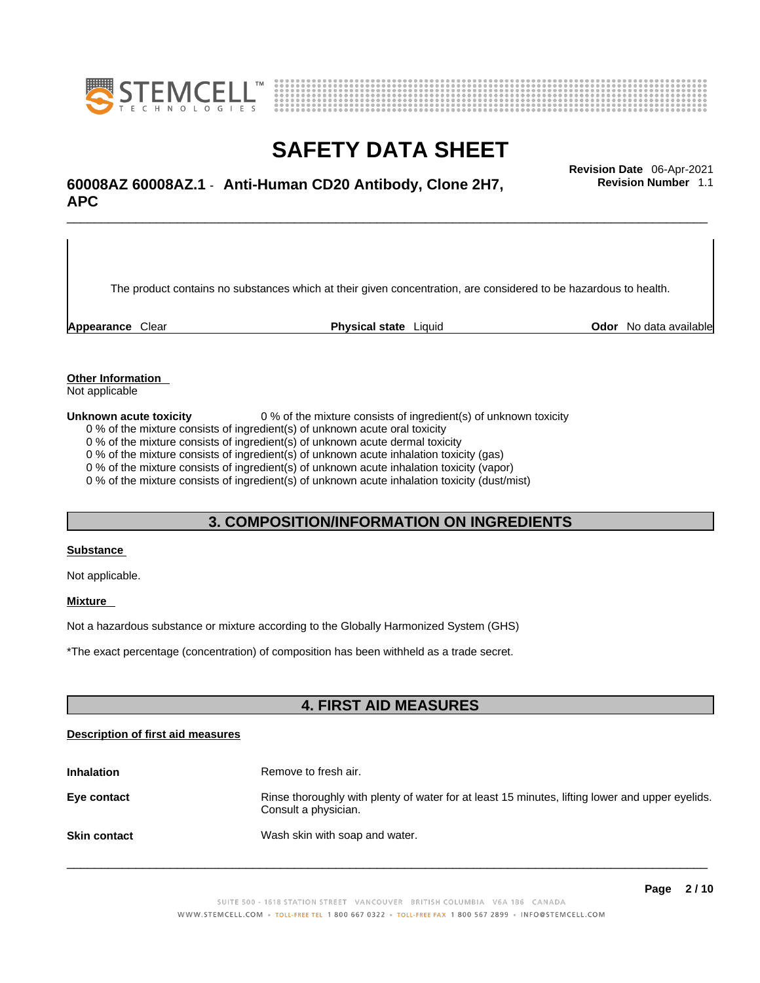



## \_\_\_\_\_\_\_\_\_\_\_\_\_\_\_\_\_\_\_\_\_\_\_\_\_\_\_\_\_\_\_\_\_\_\_\_\_\_\_\_\_\_\_\_\_\_\_\_\_\_\_\_\_\_\_\_\_\_\_\_\_\_\_\_\_\_\_\_\_\_\_\_\_\_\_\_\_\_\_\_\_\_\_\_\_\_\_\_\_\_\_\_\_ **Revision Date** 06-Apr-2021 **60008AZ 60008AZ.1** - **Anti-Human CD20 Antibody, Clone 2H7, APC**

The product contains no substances which at their given concentration, are considered to be hazardous to health.

**Appearance** Clear **Physical state** Liquid **Odor** No data available

**Revision Number** 1.1

**Other Information** 

Not applicable

**Unknown acute toxicity** 0 % of the mixture consists of ingredient(s) of unknown toxicity

0 % of the mixture consists of ingredient(s) of unknown acute oral toxicity

0 % of the mixture consists of ingredient(s) of unknown acute dermal toxicity

0 % of the mixture consists of ingredient(s) of unknown acute inhalation toxicity (gas)

0 % of the mixture consists of ingredient(s) of unknown acute inhalation toxicity (vapor)

0 % of the mixture consists of ingredient(s) of unknown acute inhalation toxicity (dust/mist)

## **3. COMPOSITION/INFORMATION ON INGREDIENTS**

#### **Substance**

Not applicable.

## **Mixture**

Not a hazardous substance or mixture according to the Globally Harmonized System (GHS)

\*The exact percentage (concentration) ofcomposition has been withheld as a trade secret.

## **4. FIRST AID MEASURES**

#### **Description of first aid measures**

| <b>Inhalation</b>   | Remove to fresh air.                                                                                                    |
|---------------------|-------------------------------------------------------------------------------------------------------------------------|
| Eye contact         | Rinse thoroughly with plenty of water for at least 15 minutes, lifting lower and upper eyelids.<br>Consult a physician. |
| <b>Skin contact</b> | Wash skin with soap and water.                                                                                          |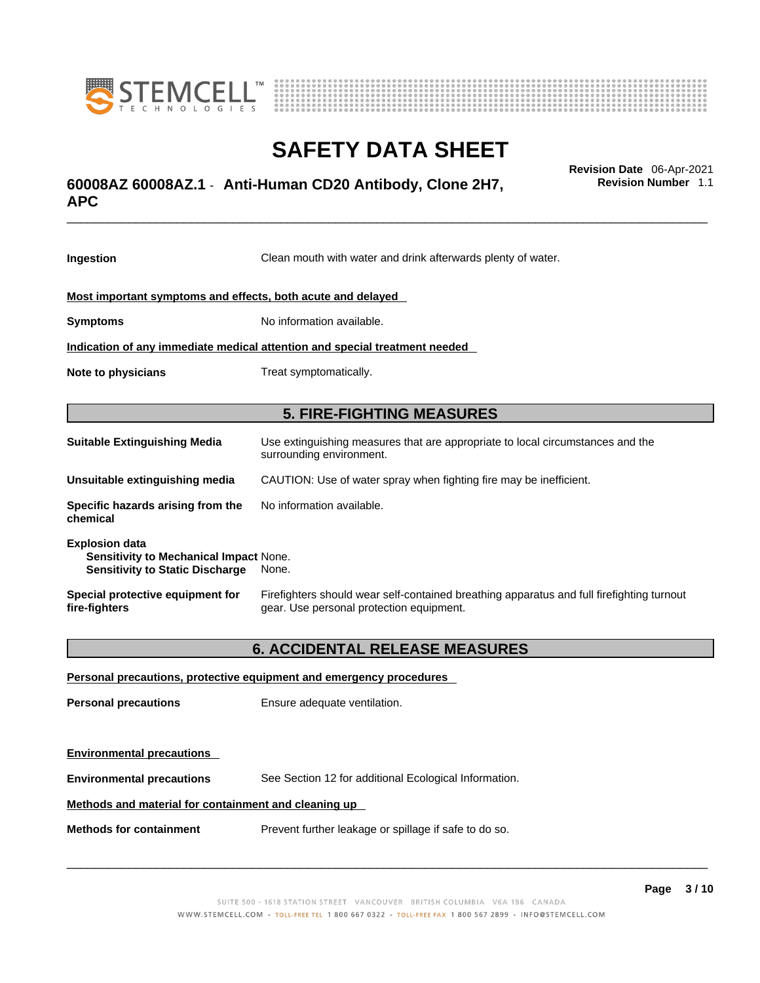



## \_\_\_\_\_\_\_\_\_\_\_\_\_\_\_\_\_\_\_\_\_\_\_\_\_\_\_\_\_\_\_\_\_\_\_\_\_\_\_\_\_\_\_\_\_\_\_\_\_\_\_\_\_\_\_\_\_\_\_\_\_\_\_\_\_\_\_\_\_\_\_\_\_\_\_\_\_\_\_\_\_\_\_\_\_\_\_\_\_\_\_\_\_ **Revision Date** 06-Apr-2021 **60008AZ 60008AZ.1** - **Anti-Human CD20 Antibody, Clone 2H7, APC**

**Ingestion** Clean mouth with water and drink afterwards plenty of water. **Most important symptoms and effects, both acute and delayed Symptoms** No information available. **Indication of any immediate medical attention and special treatment needed Note to physicians** Treat symptomatically. **5. FIRE-FIGHTING MEASURES Suitable Extinguishing Media** Use extinguishing measures that are appropriate to local circumstances and the surrounding environment. **Unsuitable extinguishing media** CAUTION: Use of water spray when fighting fire may be inefficient. **Specific hazards arising from the chemical** No information available. **Explosion data Sensitivity to Mechanical Impact** None. **Sensitivity to Static Discharge** None. **Special protective equipment for fire-fighters** Firefighters should wear self-contained breathing apparatus and full firefighting turnout gear. Use personal protection equipment.

## **6. ACCIDENTAL RELEASE MEASURES**

| Personal precautions, protective equipment and emergency procedures |                                                       |  |
|---------------------------------------------------------------------|-------------------------------------------------------|--|
| <b>Personal precautions</b>                                         | Ensure adequate ventilation.                          |  |
| <b>Environmental precautions</b>                                    |                                                       |  |
| <b>Environmental precautions</b>                                    | See Section 12 for additional Ecological Information. |  |
| Methods and material for containment and cleaning up                |                                                       |  |
| <b>Methods for containment</b>                                      | Prevent further leakage or spillage if safe to do so. |  |

 $\_$  ,  $\_$  ,  $\_$  ,  $\_$  ,  $\_$  ,  $\_$  ,  $\_$  ,  $\_$  ,  $\_$  ,  $\_$  ,  $\_$  ,  $\_$  ,  $\_$  ,  $\_$  ,  $\_$  ,  $\_$  ,  $\_$  ,  $\_$  ,  $\_$  ,  $\_$  ,  $\_$  ,  $\_$  ,  $\_$  ,  $\_$  ,  $\_$  ,  $\_$  ,  $\_$  ,  $\_$  ,  $\_$  ,  $\_$  ,  $\_$  ,  $\_$  ,  $\_$  ,  $\_$  ,  $\_$  ,  $\_$  ,  $\_$  ,

**Revision Number** 1.1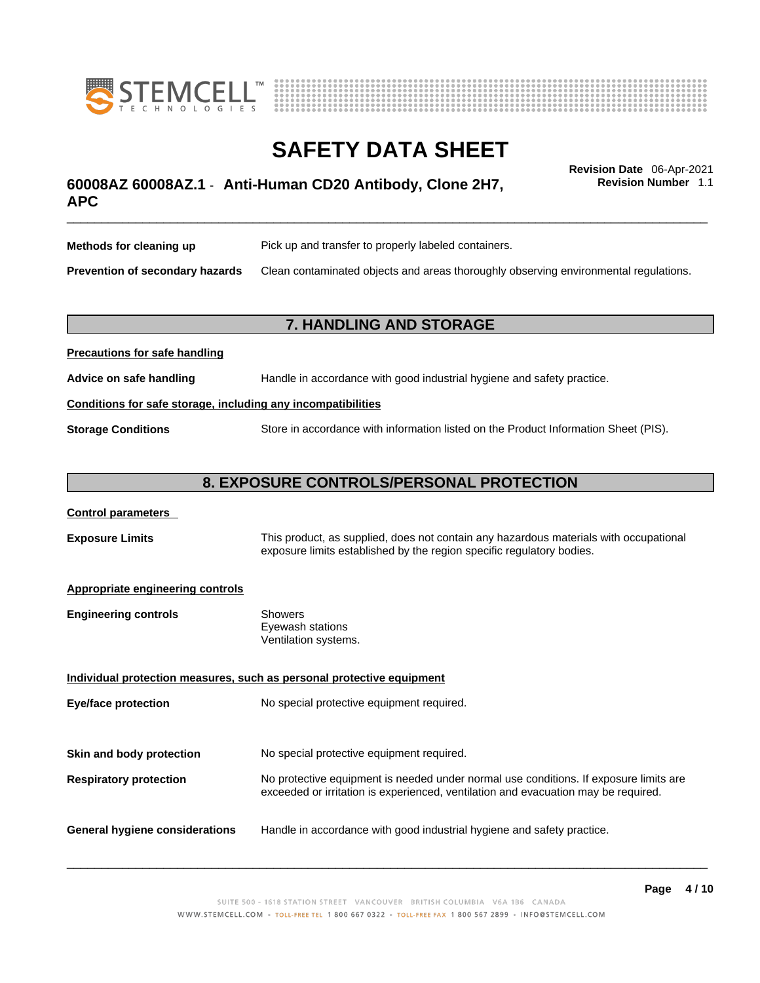



## \_\_\_\_\_\_\_\_\_\_\_\_\_\_\_\_\_\_\_\_\_\_\_\_\_\_\_\_\_\_\_\_\_\_\_\_\_\_\_\_\_\_\_\_\_\_\_\_\_\_\_\_\_\_\_\_\_\_\_\_\_\_\_\_\_\_\_\_\_\_\_\_\_\_\_\_\_\_\_\_\_\_\_\_\_\_\_\_\_\_\_\_\_ **Revision Date** 06-Apr-2021 **60008AZ 60008AZ.1** - **Anti-Human CD20 Antibody, Clone 2H7, APC**

**Revision Number** 1.1

| Methods for cleaning up         | Pick up and transfer to properly labeled containers.                                 |
|---------------------------------|--------------------------------------------------------------------------------------|
| Prevention of secondary hazards | Clean contaminated objects and areas thoroughly observing environmental regulations. |

## **7. HANDLING AND STORAGE**

| <b>Precautions for safe handling</b>                         |                                                                                     |  |
|--------------------------------------------------------------|-------------------------------------------------------------------------------------|--|
| Advice on safe handling                                      | Handle in accordance with good industrial hygiene and safety practice.              |  |
| Conditions for safe storage, including any incompatibilities |                                                                                     |  |
| <b>Storage Conditions</b>                                    | Store in accordance with information listed on the Product Information Sheet (PIS). |  |

## **8. EXPOSURE CONTROLS/PERSONAL PROTECTION**

#### **Control parameters**

**Exposure Limits** This product, as supplied, does not contain any hazardous materials with occupational exposure limits established by the region specific regulatory bodies.

#### **Appropriate engineering controls**

**Precautions for safe handling**

| Showers              |  |
|----------------------|--|
| Eyewash stations     |  |
| Ventilation systems. |  |
|                      |  |

**Individual protection measures, such as personal protective equipment Eye/face protection** No special protective equipment required. **Skin and body protection** No special protective equipment required. **Respiratory protection** No protective equipment is needed under normal use conditions. If exposure limits are exceeded or irritation is experienced, ventilation and evacuation may be required. **General hygiene considerations** Handle in accordance with good industrial hygiene and safety practice.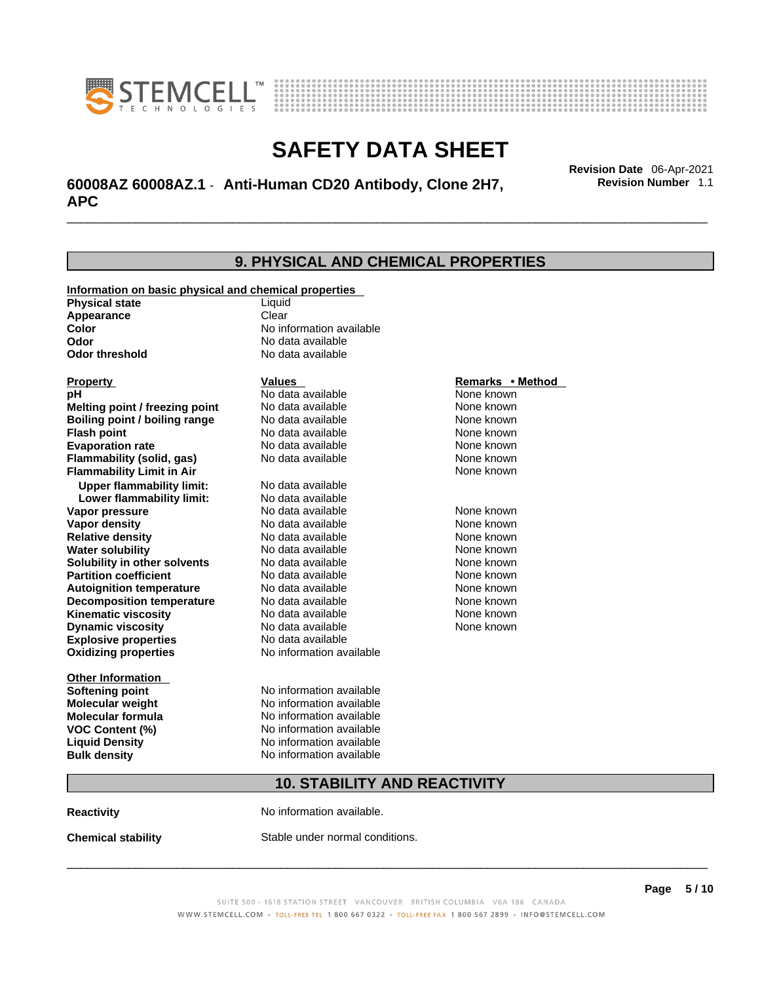



## \_\_\_\_\_\_\_\_\_\_\_\_\_\_\_\_\_\_\_\_\_\_\_\_\_\_\_\_\_\_\_\_\_\_\_\_\_\_\_\_\_\_\_\_\_\_\_\_\_\_\_\_\_\_\_\_\_\_\_\_\_\_\_\_\_\_\_\_\_\_\_\_\_\_\_\_\_\_\_\_\_\_\_\_\_\_\_\_\_\_\_\_\_ **Revision Date** 06-Apr-2021 **60008AZ 60008AZ.1** - **Anti-Human CD20 Antibody, Clone 2H7, APC**

**9. PHYSICAL AND CHEMICAL PROPERTIES Information on basic physical and chemical properties Physical state** Liquid **Appearance** Clear<br> **Color** No int **Color Color Color Color Color Color Color No** data available **Odor Odor No data available**<br> **Odor threshold No data available No data available Explosive properties** No data available **Oxidizing properties** No information available **Other Information Softening point** No information available **Molecular weight** No information available **Molecular formula** No information available<br>**VOC Content (%)** No information available **VOC** Content (%) **Liquid Density** No information available **Bulk density No information available Property CONSIDERENT VALUES PROPERTY Remarks •** Method **pH** No data available None known **Melting point / freezing point Boiling point / boiling range Modata available None known Flash point Communist Communist Communist Communist Communist Communist Communist Communist Communist Communist Communist Communist Communist Communist Communist Communist Communist Communist Communist Communist Communi Evaporation rate Configure 1 Accord None Configure 1 Accord None known**<br> **Elammability (solid. gas)** No data available **None known** None known **Flammability (solid, gas)** No data available None known **Flammability Limit in Air None known None known Upper flammability limit:** No data available **Lower flammability limit:** No data available **Vapor pressure No data available None known Vapor density Notata available None known Relative density No data available None known Water solubility No data available Mone known**<br> **Solubility in other solvents** No data available None known None known **Solubility in other solvents** No data available **None known**<br> **Partition coefficient** No data available **None known**<br>
None known **Partition coefficient**<br>**Autoignition temperature** No data available **Autoignition temperature No data available None known**<br> **Decomposition temperature** No data available **None known**<br>
None known **Decomposition temperature** No data available None known<br> **Kinematic viscosity** No data available None known **Kinematic viscosity** No data available<br> **Dynamic viscosity** No data available **Dynamic viscosity** None known

## **10. STABILITY AND REACTIVITY**

**Reactivity No information available.** 

**Chemical stability** Stable under normal conditions.

 $\_$  ,  $\_$  ,  $\_$  ,  $\_$  ,  $\_$  ,  $\_$  ,  $\_$  ,  $\_$  ,  $\_$  ,  $\_$  ,  $\_$  ,  $\_$  ,  $\_$  ,  $\_$  ,  $\_$  ,  $\_$  ,  $\_$  ,  $\_$  ,  $\_$  ,  $\_$  ,  $\_$  ,  $\_$  ,  $\_$  ,  $\_$  ,  $\_$  ,  $\_$  ,  $\_$  ,  $\_$  ,  $\_$  ,  $\_$  ,  $\_$  ,  $\_$  ,  $\_$  ,  $\_$  ,  $\_$  ,  $\_$  ,  $\_$  ,

**Revision Number** 1.1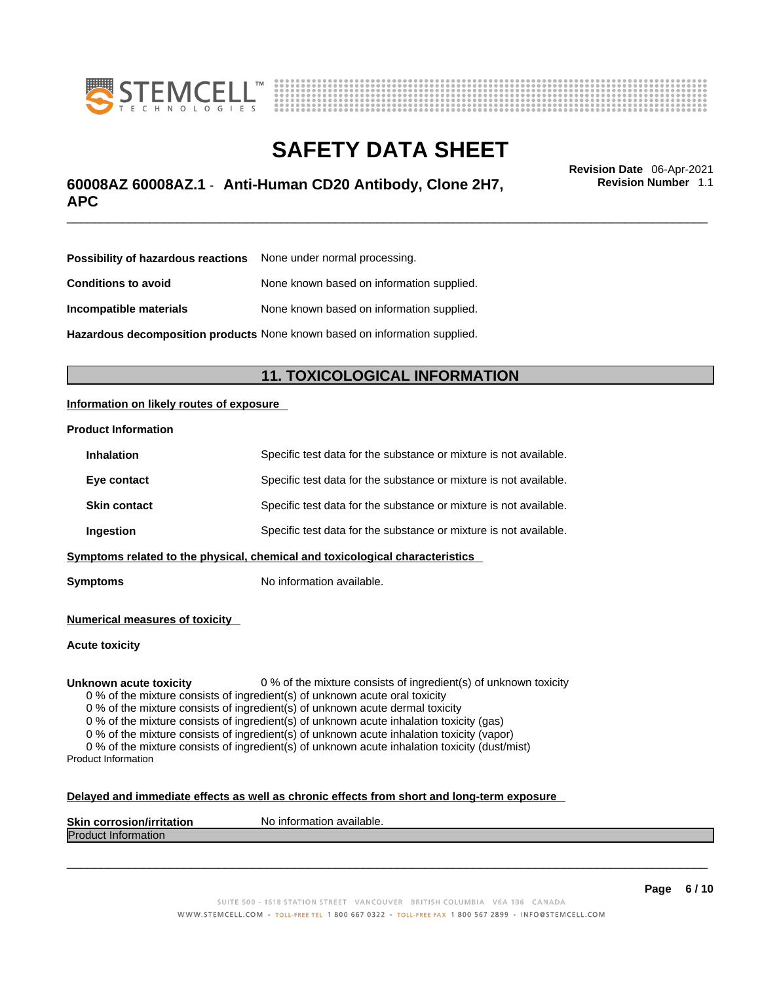



## \_\_\_\_\_\_\_\_\_\_\_\_\_\_\_\_\_\_\_\_\_\_\_\_\_\_\_\_\_\_\_\_\_\_\_\_\_\_\_\_\_\_\_\_\_\_\_\_\_\_\_\_\_\_\_\_\_\_\_\_\_\_\_\_\_\_\_\_\_\_\_\_\_\_\_\_\_\_\_\_\_\_\_\_\_\_\_\_\_\_\_\_\_ **Revision Date** 06-Apr-2021 **60008AZ 60008AZ.1** - **Anti-Human CD20 Antibody, Clone 2H7, APC**

**Revision Number** 1.1

| <b>Possibility of hazardous reactions</b> None under normal processing.    |                                           |  |
|----------------------------------------------------------------------------|-------------------------------------------|--|
| <b>Conditions to avoid</b>                                                 | None known based on information supplied. |  |
| Incompatible materials                                                     | None known based on information supplied. |  |
| Hazardous decomposition products None known based on information supplied. |                                           |  |

## **11. TOXICOLOGICAL INFORMATION**

## **Information on likely routes of exposure**

#### **Product Information**

| <b>Inhalation</b>                                                            | Specific test data for the substance or mixture is not available. |  |
|------------------------------------------------------------------------------|-------------------------------------------------------------------|--|
| Eye contact                                                                  | Specific test data for the substance or mixture is not available. |  |
| <b>Skin contact</b>                                                          | Specific test data for the substance or mixture is not available. |  |
| Ingestion                                                                    | Specific test data for the substance or mixture is not available. |  |
| Symptoms related to the physical, chemical and toxicological characteristics |                                                                   |  |

**Symptoms** No information available.

**Numerical measures of toxicity**

**Acute toxicity**

**Unknown acute toxicity** 0 % of the mixture consists of ingredient(s) of unknown toxicity

0 % of the mixture consists of ingredient(s) of unknown acute oral toxicity

0 % of the mixture consists of ingredient(s) of unknown acute dermal toxicity

0 % of the mixture consists of ingredient(s) of unknown acute inhalation toxicity (gas)

0 % of the mixture consists of ingredient(s) of unknown acute inhalation toxicity (vapor)

0 % of the mixture consists of ingredient(s) of unknown acute inhalation toxicity (dust/mist) Product Information

#### **Delayed and immediate effects as well as chronic effects from short and long-term exposure**

| <b>Skin corrosior</b><br>ion/irritation | `available.<br>No inforn<br>nation |
|-----------------------------------------|------------------------------------|
| Produc<br><b>Information</b>            |                                    |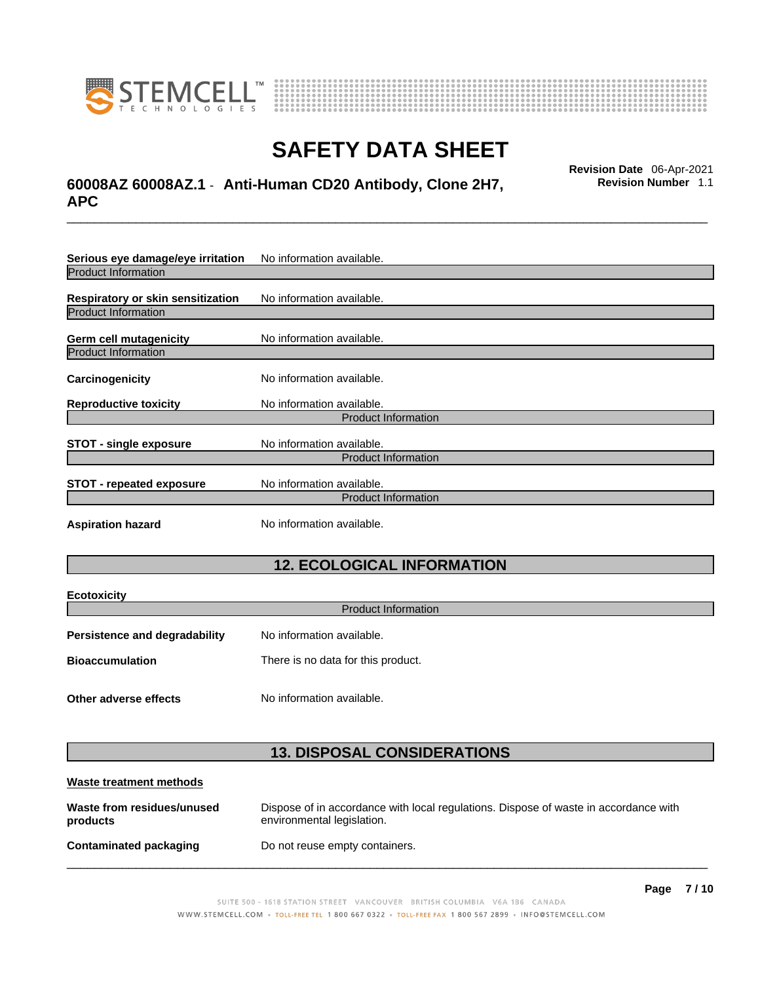



## \_\_\_\_\_\_\_\_\_\_\_\_\_\_\_\_\_\_\_\_\_\_\_\_\_\_\_\_\_\_\_\_\_\_\_\_\_\_\_\_\_\_\_\_\_\_\_\_\_\_\_\_\_\_\_\_\_\_\_\_\_\_\_\_\_\_\_\_\_\_\_\_\_\_\_\_\_\_\_\_\_\_\_\_\_\_\_\_\_\_\_\_\_ **Revision Date** 06-Apr-2021 **60008AZ 60008AZ.1** - **Anti-Human CD20 Antibody, Clone 2H7, APC**

**Revision Number** 1.1

| Serious eye damage/eye irritation | No information available.  |  |
|-----------------------------------|----------------------------|--|
| <b>Product Information</b>        |                            |  |
| Respiratory or skin sensitization | No information available.  |  |
| <b>Product Information</b>        |                            |  |
| <b>Germ cell mutagenicity</b>     | No information available.  |  |
| <b>Product Information</b>        |                            |  |
| Carcinogenicity                   | No information available.  |  |
| <b>Reproductive toxicity</b>      | No information available.  |  |
|                                   | <b>Product Information</b> |  |
| <b>STOT - single exposure</b>     | No information available.  |  |
| <b>Product Information</b>        |                            |  |
| <b>STOT - repeated exposure</b>   | No information available.  |  |
| <b>Product Information</b>        |                            |  |
| <b>Aspiration hazard</b>          | No information available.  |  |

## **12. ECOLOGICAL INFORMATION**

| <b>Product Information</b>         |  |  |
|------------------------------------|--|--|
| No information available.          |  |  |
| There is no data for this product. |  |  |
|                                    |  |  |
| No information available.          |  |  |
|                                    |  |  |

## **13. DISPOSAL CONSIDERATIONS**

| Waste treatment methods                |                                                                                                                    |
|----------------------------------------|--------------------------------------------------------------------------------------------------------------------|
| Waste from residues/unused<br>products | Dispose of in accordance with local regulations. Dispose of waste in accordance with<br>environmental legislation. |
| Contaminated packaging                 | Do not reuse empty containers.                                                                                     |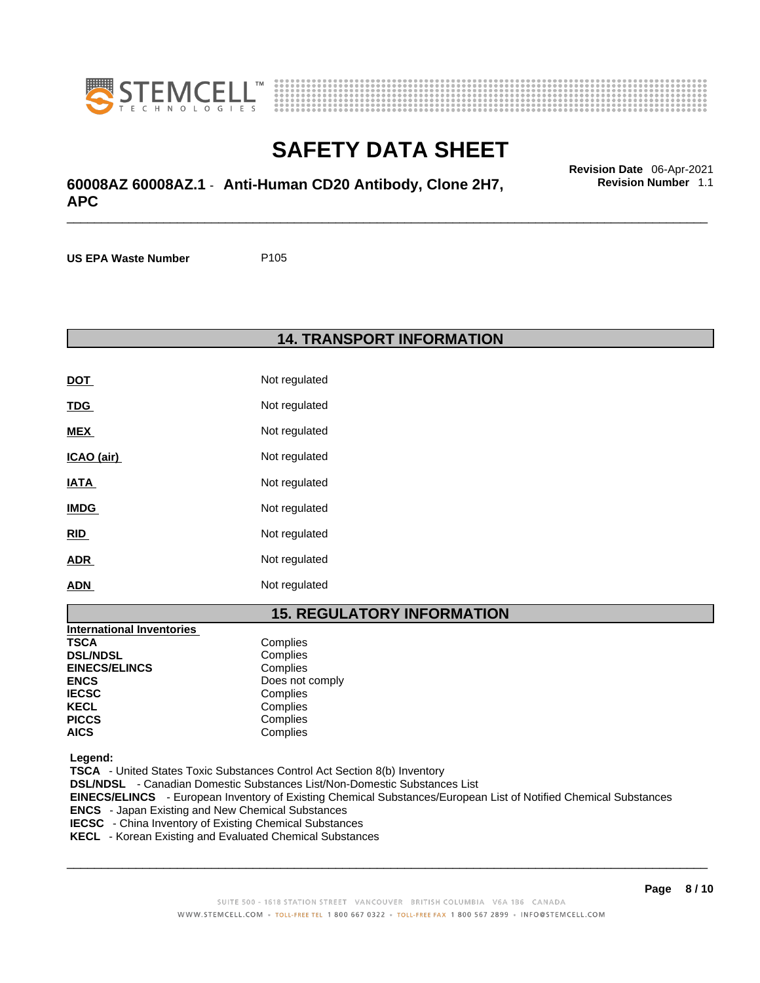



## \_\_\_\_\_\_\_\_\_\_\_\_\_\_\_\_\_\_\_\_\_\_\_\_\_\_\_\_\_\_\_\_\_\_\_\_\_\_\_\_\_\_\_\_\_\_\_\_\_\_\_\_\_\_\_\_\_\_\_\_\_\_\_\_\_\_\_\_\_\_\_\_\_\_\_\_\_\_\_\_\_\_\_\_\_\_\_\_\_\_\_\_\_ **Revision Date** 06-Apr-2021 **60008AZ 60008AZ.1** - **Anti-Human CD20 Antibody, Clone 2H7, APC**

**US EPA Waste Number** P105

## **14. TRANSPORT INFORMATION**

| DOT         | Not regulated |
|-------------|---------------|
| <u>TDG</u>  | Not regulated |
| <b>MEX</b>  | Not regulated |
| ICAO (air)  | Not regulated |
| IATA        | Not regulated |
| <b>IMDG</b> | Not regulated |
| <u>RID</u>  | Not regulated |
| <b>ADR</b>  | Not regulated |
| <b>ADN</b>  | Not regulated |

## **15. REGULATORY INFORMATION**

| <b>International Inventories</b> |                 |
|----------------------------------|-----------------|
| <b>TSCA</b>                      | Complies        |
| <b>DSL/NDSL</b>                  | Complies        |
| <b>EINECS/ELINCS</b>             | Complies        |
| <b>ENCS</b>                      | Does not comply |
| <b>IECSC</b>                     | Complies        |
| <b>KECL</b>                      | Complies        |
| <b>PICCS</b>                     | Complies        |
| <b>AICS</b>                      | Complies        |

 **Legend:** 

 **TSCA** - United States Toxic Substances Control Act Section 8(b) Inventory  **DSL/NDSL** - Canadian Domestic Substances List/Non-Domestic Substances List  **EINECS/ELINCS** - European Inventory of Existing Chemical Substances/European List of Notified Chemical Substances  **ENCS** - Japan Existing and New Chemical Substances  **IECSC** - China Inventory of Existing Chemical Substances

 **KECL** - Korean Existing and Evaluated Chemical Substances

 $\_$  ,  $\_$  ,  $\_$  ,  $\_$  ,  $\_$  ,  $\_$  ,  $\_$  ,  $\_$  ,  $\_$  ,  $\_$  ,  $\_$  ,  $\_$  ,  $\_$  ,  $\_$  ,  $\_$  ,  $\_$  ,  $\_$  ,  $\_$  ,  $\_$  ,  $\_$  ,  $\_$  ,  $\_$  ,  $\_$  ,  $\_$  ,  $\_$  ,  $\_$  ,  $\_$  ,  $\_$  ,  $\_$  ,  $\_$  ,  $\_$  ,  $\_$  ,  $\_$  ,  $\_$  ,  $\_$  ,  $\_$  ,  $\_$  ,

**Revision Number** 1.1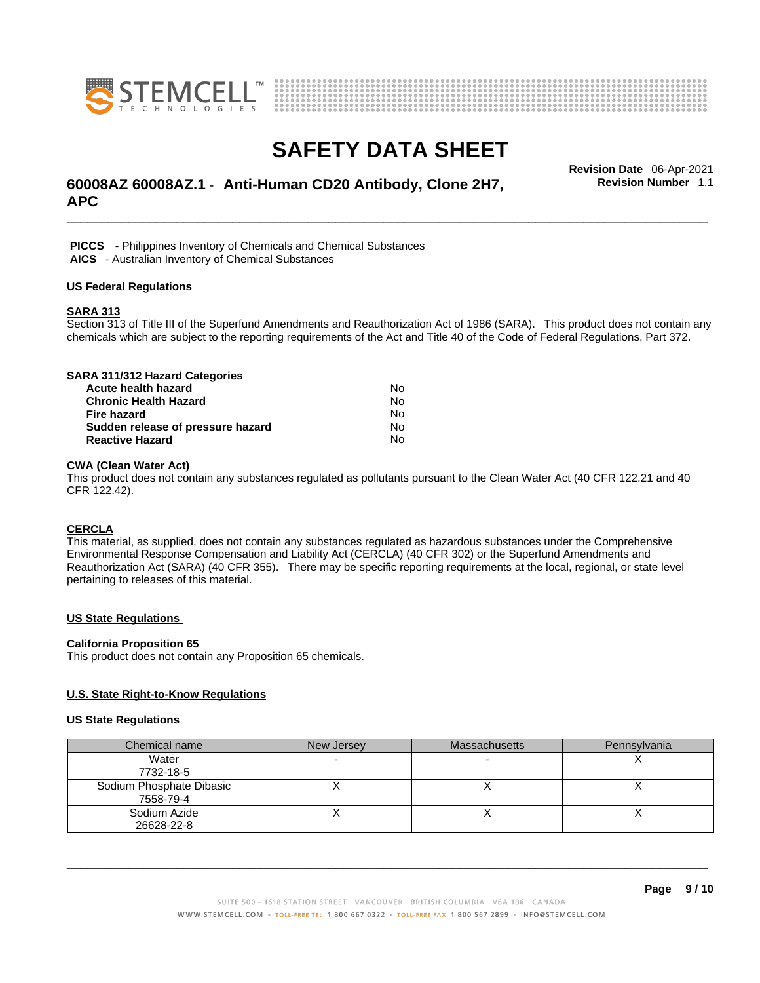



## \_\_\_\_\_\_\_\_\_\_\_\_\_\_\_\_\_\_\_\_\_\_\_\_\_\_\_\_\_\_\_\_\_\_\_\_\_\_\_\_\_\_\_\_\_\_\_\_\_\_\_\_\_\_\_\_\_\_\_\_\_\_\_\_\_\_\_\_\_\_\_\_\_\_\_\_\_\_\_\_\_\_\_\_\_\_\_\_\_\_\_\_\_ **Revision Date** 06-Apr-2021 **60008AZ 60008AZ.1** - **Anti-Human CD20 Antibody, Clone 2H7, APC**

**Revision Number** 1.1

 **PICCS** - Philippines Inventory of Chemicals and Chemical Substances

 **AICS** - Australian Inventory of Chemical Substances

#### **US Federal Regulations**

### **SARA 313**

Section 313 of Title III of the Superfund Amendments and Reauthorization Act of 1986 (SARA). This product does not contain any chemicals which are subject to the reporting requirements of the Act and Title 40 of the Code of Federal Regulations, Part 372.

| SARA 311/312 Hazard Categories    |    |  |
|-----------------------------------|----|--|
| Acute health hazard               | No |  |
| <b>Chronic Health Hazard</b>      | No |  |
| <b>Fire hazard</b>                | No |  |
| Sudden release of pressure hazard | No |  |
| <b>Reactive Hazard</b>            | N٥ |  |

## **CWA (Clean WaterAct)**

This product does not contain any substances regulated as pollutants pursuant to the Clean Water Act (40 CFR 122.21 and 40 CFR 122.42).

## **CERCLA**

This material, as supplied, does not contain any substances regulated as hazardous substances under the Comprehensive Environmental Response Compensation and Liability Act (CERCLA) (40 CFR 302) or the Superfund Amendments and Reauthorization Act (SARA) (40 CFR 355). There may be specific reporting requirements at the local, regional, or state level pertaining to releases of this material.

## **US State Regulations**

#### **California Proposition 65**

This product does not contain any Proposition 65 chemicals.

## **U.S. State Right-to-Know Regulations**

#### **US State Regulations**

| Chemical name            | New Jersey | <b>Massachusetts</b> | Pennsylvania |
|--------------------------|------------|----------------------|--------------|
| Water                    |            |                      |              |
| 7732-18-5                |            |                      |              |
| Sodium Phosphate Dibasic |            |                      |              |
| 7558-79-4                |            |                      |              |
| Sodium Azide             |            |                      |              |
| 26628-22-8               |            |                      |              |